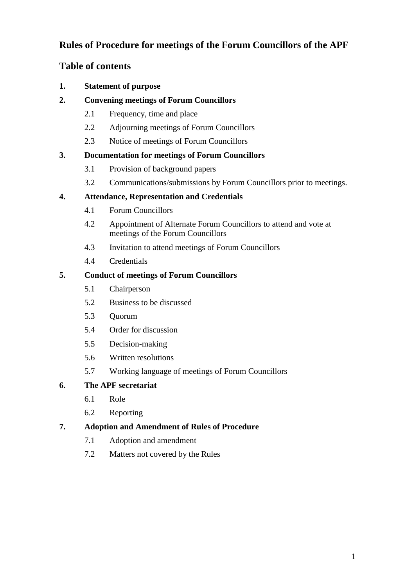# **Rules of Procedure for meetings of the Forum Councillors of the APF**

# **Table of contents**

- **1. Statement of purpose**
- **2. Convening meetings of Forum Councillors**
	- 2.1 Frequency, time and place
	- 2.2 Adjourning meetings of Forum Councillors
	- 2.3 Notice of meetings of Forum Councillors

## **3. Documentation for meetings of Forum Councillors**

- 3.1 Provision of background papers
- 3.2 Communications/submissions by Forum Councillors prior to meetings.

## **4. Attendance, Representation and Credentials**

- 4.1 Forum Councillors
- 4.2 Appointment of Alternate Forum Councillors to attend and vote at meetings of the Forum Councillors
- 4.3 Invitation to attend meetings of Forum Councillors
- 4.4 Credentials

## **5. Conduct of meetings of Forum Councillors**

- 5.1 Chairperson
- 5.2 Business to be discussed
- 5.3 Quorum
- 5.4 Order for discussion
- 5.5 Decision-making
- 5.6 Written resolutions
- 5.7 Working language of meetings of Forum Councillors

## **6. The APF secretariat**

- 6.1 Role
- 6.2 Reporting

## **7. Adoption and Amendment of Rules of Procedure**

- 7.1 Adoption and amendment
- 7.2 Matters not covered by the Rules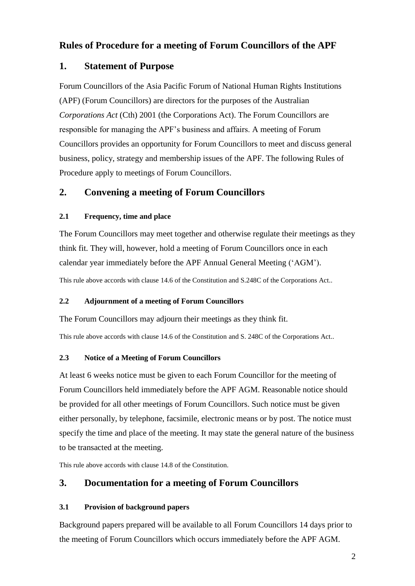# **Rules of Procedure for a meeting of Forum Councillors of the APF**

## **1. Statement of Purpose**

Forum Councillors of the Asia Pacific Forum of National Human Rights Institutions (APF) (Forum Councillors) are directors for the purposes of the Australian *Corporations Act* (Cth) 2001 (the Corporations Act). The Forum Councillors are responsible for managing the APF's business and affairs. A meeting of Forum Councillors provides an opportunity for Forum Councillors to meet and discuss general business, policy, strategy and membership issues of the APF. The following Rules of Procedure apply to meetings of Forum Councillors.

# **2. Convening a meeting of Forum Councillors**

### **2.1 Frequency, time and place**

The Forum Councillors may meet together and otherwise regulate their meetings as they think fit. They will, however, hold a meeting of Forum Councillors once in each calendar year immediately before the APF Annual General Meeting ('AGM').

This rule above accords with clause 14.6 of the Constitution and S.248C of the Corporations Act..

### **2.2 Adjournment of a meeting of Forum Councillors**

The Forum Councillors may adjourn their meetings as they think fit.

This rule above accords with clause 14.6 of the Constitution and S. 248C of the Corporations Act..

### **2.3 Notice of a Meeting of Forum Councillors**

At least 6 weeks notice must be given to each Forum Councillor for the meeting of Forum Councillors held immediately before the APF AGM. Reasonable notice should be provided for all other meetings of Forum Councillors. Such notice must be given either personally, by telephone, facsimile, electronic means or by post. The notice must specify the time and place of the meeting. It may state the general nature of the business to be transacted at the meeting.

This rule above accords with clause 14.8 of the Constitution.

# **3. Documentation for a meeting of Forum Councillors**

## **3.1 Provision of background papers**

Background papers prepared will be available to all Forum Councillors 14 days prior to the meeting of Forum Councillors which occurs immediately before the APF AGM.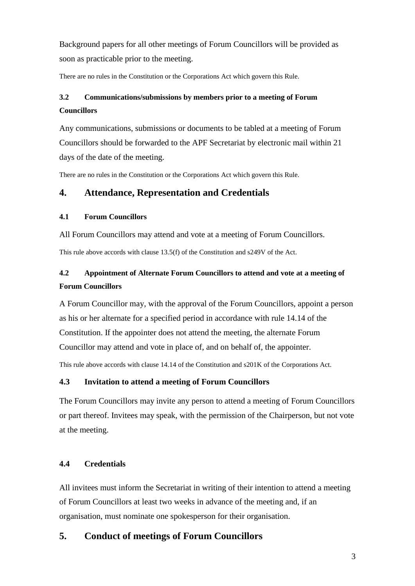Background papers for all other meetings of Forum Councillors will be provided as soon as practicable prior to the meeting.

There are no rules in the Constitution or the Corporations Act which govern this Rule.

# **3.2 Communications/submissions by members prior to a meeting of Forum Councillors**

Any communications, submissions or documents to be tabled at a meeting of Forum Councillors should be forwarded to the APF Secretariat by electronic mail within 21 days of the date of the meeting.

There are no rules in the Constitution or the Corporations Act which govern this Rule.

## **4. Attendance, Representation and Credentials**

### **4.1 Forum Councillors**

All Forum Councillors may attend and vote at a meeting of Forum Councillors.

This rule above accords with clause 13.5(f) of the Constitution and s249V of the Act.

# **4.2 Appointment of Alternate Forum Councillors to attend and vote at a meeting of Forum Councillors**

A Forum Councillor may, with the approval of the Forum Councillors, appoint a person as his or her alternate for a specified period in accordance with rule 14.14 of the Constitution. If the appointer does not attend the meeting, the alternate Forum Councillor may attend and vote in place of, and on behalf of, the appointer.

This rule above accords with clause 14.14 of the Constitution and s201K of the Corporations Act.

### **4.3 Invitation to attend a meeting of Forum Councillors**

The Forum Councillors may invite any person to attend a meeting of Forum Councillors or part thereof. Invitees may speak, with the permission of the Chairperson, but not vote at the meeting.

### **4.4 Credentials**

All invitees must inform the Secretariat in writing of their intention to attend a meeting of Forum Councillors at least two weeks in advance of the meeting and, if an organisation, must nominate one spokesperson for their organisation.

## **5. Conduct of meetings of Forum Councillors**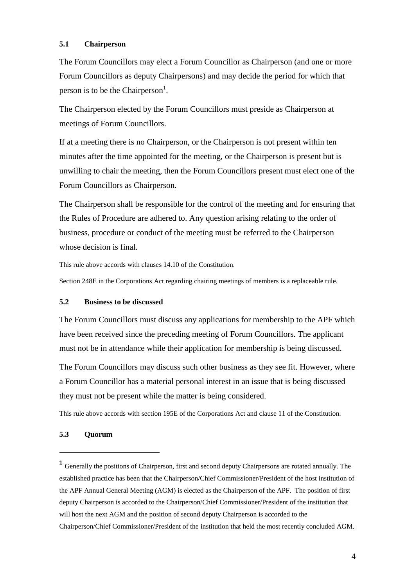#### **5.1 Chairperson**

The Forum Councillors may elect a Forum Councillor as Chairperson (and one or more Forum Councillors as deputy Chairpersons) and may decide the period for which that person is to be the Chairperson<sup>1</sup>.

The Chairperson elected by the Forum Councillors must preside as Chairperson at meetings of Forum Councillors.

If at a meeting there is no Chairperson, or the Chairperson is not present within ten minutes after the time appointed for the meeting, or the Chairperson is present but is unwilling to chair the meeting, then the Forum Councillors present must elect one of the Forum Councillors as Chairperson.

The Chairperson shall be responsible for the control of the meeting and for ensuring that the Rules of Procedure are adhered to. Any question arising relating to the order of business, procedure or conduct of the meeting must be referred to the Chairperson whose decision is final.

This rule above accords with clauses 14.10 of the Constitution.

Section 248E in the Corporations Act regarding chairing meetings of members is a replaceable rule.

#### **5.2 Business to be discussed**

The Forum Councillors must discuss any applications for membership to the APF which have been received since the preceding meeting of Forum Councillors. The applicant must not be in attendance while their application for membership is being discussed.

The Forum Councillors may discuss such other business as they see fit. However, where a Forum Councillor has a material personal interest in an issue that is being discussed they must not be present while the matter is being considered.

This rule above accords with section 195E of the Corporations Act and clause 11 of the Constitution.

#### **5.3 Quorum**

1

<sup>&</sup>lt;sup>1</sup> Generally the positions of Chairperson, first and second deputy Chairpersons are rotated annually. The established practice has been that the Chairperson/Chief Commissioner/President of the host institution of the APF Annual General Meeting (AGM) is elected as the Chairperson of the APF. The position of first deputy Chairperson is accorded to the Chairperson/Chief Commissioner/President of the institution that will host the next AGM and the position of second deputy Chairperson is accorded to the Chairperson/Chief Commissioner/President of the institution that held the most recently concluded AGM.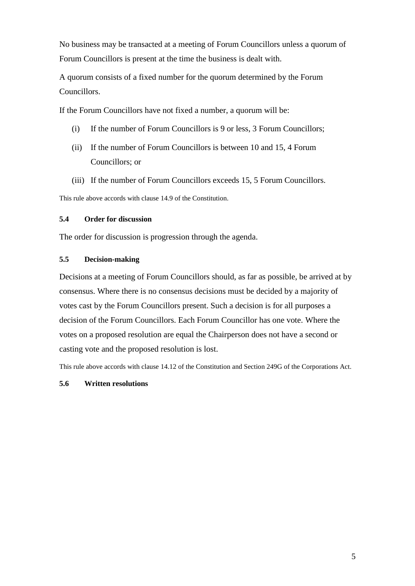No business may be transacted at a meeting of Forum Councillors unless a quorum of Forum Councillors is present at the time the business is dealt with.

A quorum consists of a fixed number for the quorum determined by the Forum Councillors.

If the Forum Councillors have not fixed a number, a quorum will be:

- (i) If the number of Forum Councillors is 9 or less, 3 Forum Councillors;
- (ii) If the number of Forum Councillors is between 10 and 15, 4 Forum Councillors; or
- (iii) If the number of Forum Councillors exceeds 15, 5 Forum Councillors.

This rule above accords with clause 14.9 of the Constitution.

### **5.4 Order for discussion**

The order for discussion is progression through the agenda.

### **5.5 Decision-making**

Decisions at a meeting of Forum Councillors should, as far as possible, be arrived at by consensus. Where there is no consensus decisions must be decided by a majority of votes cast by the Forum Councillors present. Such a decision is for all purposes a decision of the Forum Councillors. Each Forum Councillor has one vote. Where the votes on a proposed resolution are equal the Chairperson does not have a second or casting vote and the proposed resolution is lost.

This rule above accords with clause 14.12 of the Constitution and Section 249G of the Corporations Act.

### **5.6 Written resolutions**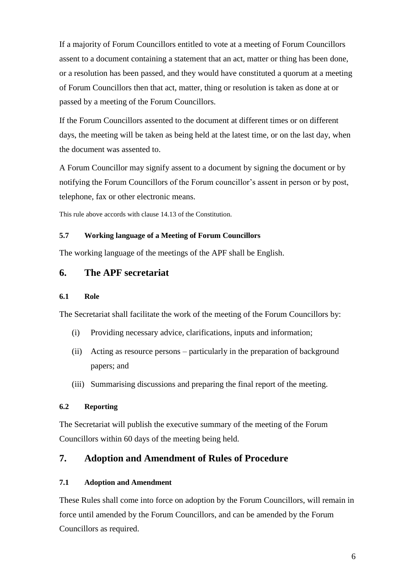If a majority of Forum Councillors entitled to vote at a meeting of Forum Councillors assent to a document containing a statement that an act, matter or thing has been done, or a resolution has been passed, and they would have constituted a quorum at a meeting of Forum Councillors then that act, matter, thing or resolution is taken as done at or passed by a meeting of the Forum Councillors.

If the Forum Councillors assented to the document at different times or on different days, the meeting will be taken as being held at the latest time, or on the last day, when the document was assented to.

A Forum Councillor may signify assent to a document by signing the document or by notifying the Forum Councillors of the Forum councillor's assent in person or by post, telephone, fax or other electronic means.

This rule above accords with clause 14.13 of the Constitution.

### **5.7 Working language of a Meeting of Forum Councillors**

The working language of the meetings of the APF shall be English.

## **6. The APF secretariat**

#### **6.1 Role**

The Secretariat shall facilitate the work of the meeting of the Forum Councillors by:

- (i) Providing necessary advice, clarifications, inputs and information;
- (ii) Acting as resource persons particularly in the preparation of background papers; and
- (iii) Summarising discussions and preparing the final report of the meeting.

### **6.2 Reporting**

The Secretariat will publish the executive summary of the meeting of the Forum Councillors within 60 days of the meeting being held.

## **7. Adoption and Amendment of Rules of Procedure**

### **7.1 Adoption and Amendment**

These Rules shall come into force on adoption by the Forum Councillors, will remain in force until amended by the Forum Councillors, and can be amended by the Forum Councillors as required.